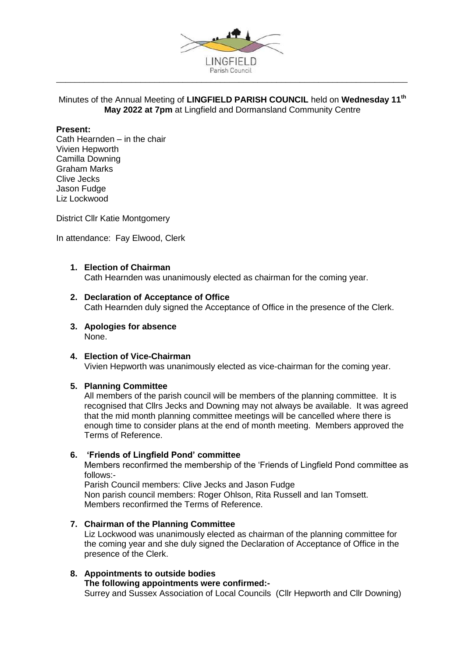

## Minutes of the Annual Meeting of **LINGFIELD PARISH COUNCIL** held on **Wednesday 11th May 2022 at 7pm** at Lingfield and Dormansland Community Centre

## **Present:**

Cath Hearnden – in the chair Vivien Hepworth Camilla Downing Graham Marks Clive Jecks Jason Fudge Liz Lockwood

District Cllr Katie Montgomery

In attendance: Fay Elwood, Clerk

#### **1. Election of Chairman**

Cath Hearnden was unanimously elected as chairman for the coming year.

#### **2. Declaration of Acceptance of Office**

Cath Hearnden duly signed the Acceptance of Office in the presence of the Clerk.

**3. Apologies for absence** None.

#### **4. Election of Vice-Chairman** Vivien Hepworth was unanimously elected as vice-chairman for the coming year.

#### **5. Planning Committee**

All members of the parish council will be members of the planning committee. It is recognised that Cllrs Jecks and Downing may not always be available. It was agreed that the mid month planning committee meetings will be cancelled where there is enough time to consider plans at the end of month meeting. Members approved the Terms of Reference.

## **6. 'Friends of Lingfield Pond' committee**

Members reconfirmed the membership of the 'Friends of Lingfield Pond committee as follows:-

Parish Council members: Clive Jecks and Jason Fudge Non parish council members: Roger Ohlson, Rita Russell and Ian Tomsett. Members reconfirmed the Terms of Reference.

## **7. Chairman of the Planning Committee**

Liz Lockwood was unanimously elected as chairman of the planning committee for the coming year and she duly signed the Declaration of Acceptance of Office in the presence of the Clerk.

# **8. Appointments to outside bodies**

#### **The following appointments were confirmed:-**

Surrey and Sussex Association of Local Councils (Cllr Hepworth and Cllr Downing)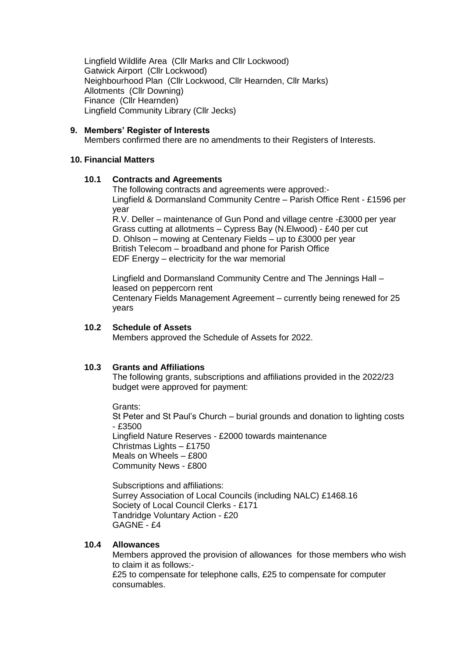Lingfield Wildlife Area (Cllr Marks and Cllr Lockwood) Gatwick Airport (Cllr Lockwood) Neighbourhood Plan (Cllr Lockwood, Cllr Hearnden, Cllr Marks) Allotments (Cllr Downing) Finance (Cllr Hearnden) Lingfield Community Library (Cllr Jecks)

## **9. Members' Register of Interests**

Members confirmed there are no amendments to their Registers of Interests.

## **10. Financial Matters**

## **10.1 Contracts and Agreements**

The following contracts and agreements were approved:- Lingfield & Dormansland Community Centre – Parish Office Rent - £1596 per year

R.V. Deller – maintenance of Gun Pond and village centre -£3000 per year Grass cutting at allotments – Cypress Bay (N.Elwood) - £40 per cut D. Ohlson – mowing at Centenary Fields – up to £3000 per year British Telecom – broadband and phone for Parish Office EDF Energy – electricity for the war memorial

Lingfield and Dormansland Community Centre and The Jennings Hall – leased on peppercorn rent Centenary Fields Management Agreement – currently being renewed for 25 years

## **10.2 Schedule of Assets**

Members approved the Schedule of Assets for 2022.

# **10.3 Grants and Affiliations**

The following grants, subscriptions and affiliations provided in the 2022/23 budget were approved for payment:

Grants:

St Peter and St Paul's Church – burial grounds and donation to lighting costs - £3500

Lingfield Nature Reserves - £2000 towards maintenance Christmas Lights – £1750 Meals on Wheels – £800 Community News - £800

Subscriptions and affiliations: Surrey Association of Local Councils (including NALC) £1468.16 Society of Local Council Clerks - £171 Tandridge Voluntary Action - £20 GAGNE - £4

## **10.4 Allowances**

Members approved the provision of allowances for those members who wish to claim it as follows:-

£25 to compensate for telephone calls, £25 to compensate for computer consumables.